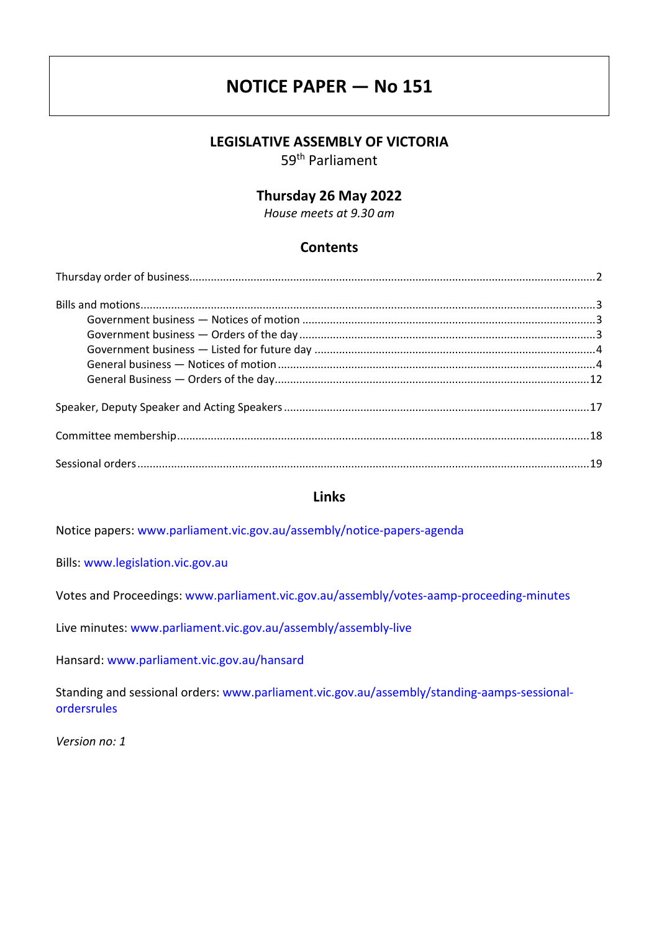# **NOTICE PAPER — No 151**

# **LEGISLATIVE ASSEMBLY OF VICTORIA**

59th Parliament

# **Thursday 26 May 2022**

*House meets at 9.30 am*

# **Contents**

# **Links**

Notice papers: [www.parliament.vic.gov.au/assembly/notice-papers-agenda](https://www.parliament.vic.gov.au/assembly/notice-papers-agenda)

Bills: [www.legislation.vic.gov.au](http://www.legislation.vic.gov.au/)

Votes and Proceedings: [www.parliament.vic.gov.au/assembly/votes-aamp-proceeding-minutes](http://www.parliament.vic.gov.au/assembly/votes-aamp-proceeding-minutes)

Live minutes: [www.parliament.vic.gov.au/assembly/assembly-live](https://www.parliament.vic.gov.au/assembly/assembly-live)

Hansard: [www.parliament.vic.gov.au/hansard](http://www.parliament.vic.gov.au/hansard)

Standing and sessional orders: [www.parliament.vic.gov.au/assembly/standing-aamps-sessional](http://www.parliament.vic.gov.au/assembly/standing-aamps-sessional-ordersrules)[ordersrules](http://www.parliament.vic.gov.au/assembly/standing-aamps-sessional-ordersrules)

*Version no: 1*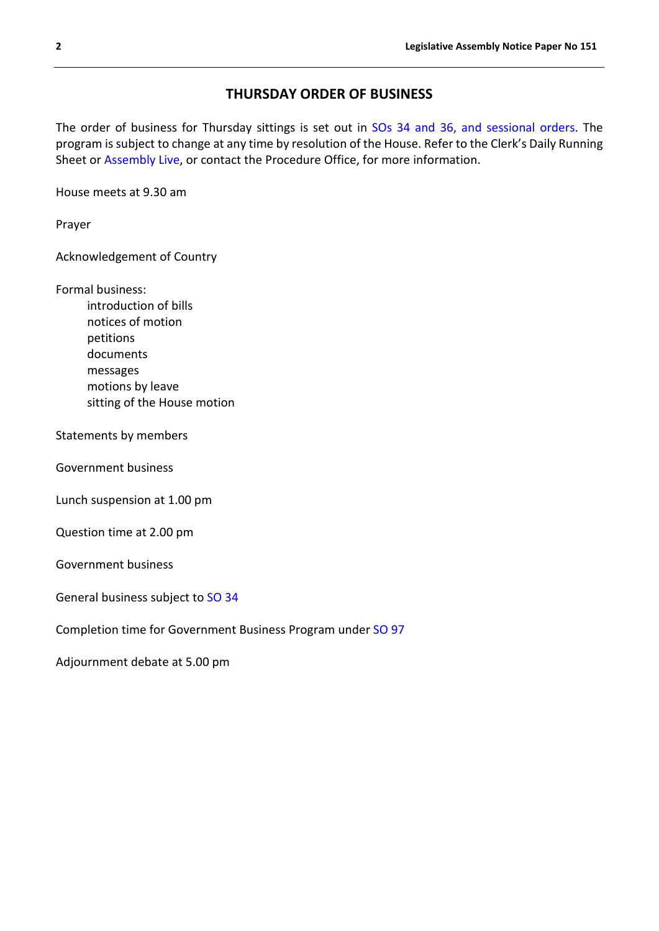# **THURSDAY ORDER OF BUSINESS**

<span id="page-1-0"></span>The order of business for Thursday sittings is set out in [SOs 34 and 36, and sessional orders.](https://www.parliament.vic.gov.au/assembly/standing-aamps-sessional-ordersrules/standing-orders/2-legislative-assembly/articles/759-chapter-17-motions-and-questions) The program is subject to change at any time by resolution of the House. Refer to the Clerk's Daily Running Sheet or [Assembly Live,](https://www.parliament.vic.gov.au/assembly/assembly-live) or contact the Procedure Office, for more information.

House meets at 9.30 am

Prayer

Acknowledgement of Country

Formal business:

introduction of bills notices of motion petitions documents messages motions by leave sitting of the House motion

Statements by members

Government business

Lunch suspension at 1.00 pm

Question time at 2.00 pm

Government business

General business subject to [SO 34](https://www.parliament.vic.gov.au/assembly/standing-aamps-sessional-ordersrules/standing-orders/2-legislative-assembly/articles/748-chapter-6-business#so34)

Completion time for Government Business Program under [SO 97](https://parliament.vic.gov.au/assembly/standing-aamps-sessional-ordersrules/standing-orders/2-legislative-assembly/articles/753-chapter-11-government-business-program#so97)

Adjournment debate at 5.00 pm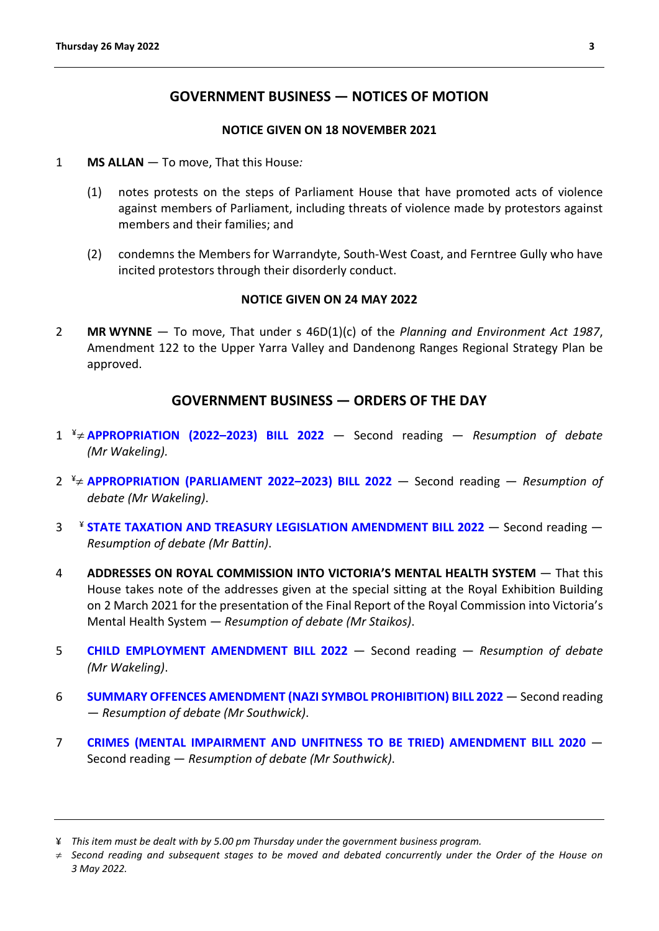# **GOVERNMENT BUSINESS — NOTICES OF MOTION**

#### **NOTICE GIVEN ON 18 NOVEMBER 2021**

- <span id="page-2-1"></span><span id="page-2-0"></span>1 **MS ALLAN** — To move, That this House*:*
	- (1) notes protests on the steps of Parliament House that have promoted acts of violence against members of Parliament, including threats of violence made by protestors against members and their families; and
	- (2) condemns the Members for Warrandyte, South-West Coast, and Ferntree Gully who have incited protestors through their disorderly conduct.

#### **NOTICE GIVEN ON 24 MAY 2022**

2 **MR WYNNE** — To move, That under s 46D(1)(c) of the *Planning and Environment Act 1987*, Amendment 122 to the Upper Yarra Valley and Dandenong Ranges Regional Strategy Plan be approved.

# **GOVERNMENT BUSINESS — ORDERS OF THE DAY**

- <span id="page-2-2"></span>1 [¥](#page-2-3)[≠](#page-2-4) **[APPROPRIATION \(2022–2023\) BILL 2022](https://www.legislation.vic.gov.au/bills/appropriation-2022-2023-bill-2022)** — Second reading — *Resumption of debate (Mr Wakeling).*
- 2 ¥≠ **[APPROPRIATION \(PARLIAMENT 2022–2023\) BILL 2022](https://www.legislation.vic.gov.au/bills/appropriation-parliament-2022-2023-bill-2022)** Second reading *Resumption of debate (Mr Wakeling)*.
- 3 ¥ **[STATE TAXATION AND TREASURY LEGISLATION AMENDMENT BILL 2022](https://www.legislation.vic.gov.au/bills/state-taxation-and-treasury-legislation-amendment-bill-2022)** Second reading *Resumption of debate (Mr Battin)*.
- 4 **ADDRESSES ON ROYAL COMMISSION INTO VICTORIA'S MENTAL HEALTH SYSTEM**  That this House takes note of the addresses given at the special sitting at the Royal Exhibition Building on 2 March 2021 for the presentation of the Final Report of the Royal Commission into Victoria's Mental Health System *— Resumption of debate (Mr Staikos)*.
- 5 **[CHILD EMPLOYMENT AMENDMENT BILL 2022](https://www.legislation.vic.gov.au/bills/child-employment-amendment-bill-2022)** Second reading *Resumption of debate (Mr Wakeling)*.
- 6 **[SUMMARY OFFENCES AMENDMENT \(NAZI SYMBOL PROHIBITION\) BILL 2022](https://www.legislation.vic.gov.au/bills/summary-offences-amendment-nazi-symbol-prohibition-bill-2022)** Second reading — *Resumption of debate (Mr Southwick)*.
- 7 **[CRIMES \(MENTAL IMPAIRMENT AND UNFITNESS TO BE TRIED\) AMENDMENT BILL 2020](https://www.legislation.vic.gov.au/bills/crimes-mental-impairment-and-unfitness-be-tried-amendment-bill-2020)** Second reading — *Resumption of debate (Mr Southwick)*.

<span id="page-2-3"></span><sup>¥</sup> *This item must be dealt with by 5.00 pm Thursday under the government business program.*

<span id="page-2-4"></span><sup>≠</sup> *Second reading and subsequent stages to be moved and debated concurrently under the Order of the House on 3 May 2022.*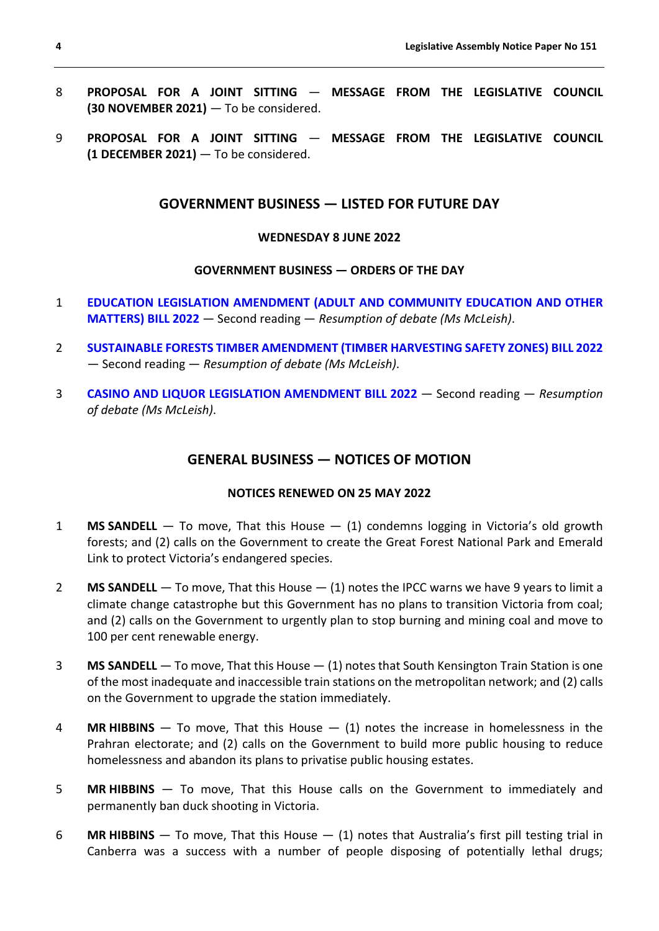- 8 **PROPOSAL FOR A JOINT SITTING MESSAGE FROM THE LEGISLATIVE COUNCIL (30 NOVEMBER 2021)** — To be considered.
- <span id="page-3-0"></span>9 **PROPOSAL FOR A JOINT SITTING** — **MESSAGE FROM THE LEGISLATIVE COUNCIL (1 DECEMBER 2021)** — To be considered.

# **GOVERNMENT BUSINESS — LISTED FOR FUTURE DAY**

#### **WEDNESDAY 8 JUNE 2022**

#### **GOVERNMENT BUSINESS — ORDERS OF THE DAY**

- 1 **[EDUCATION LEGISLATION AMENDMENT \(ADULT AND COMMUNITY EDUCATION AND OTHER](https://www.legislation.vic.gov.au/bills/education-legislation-amendment-adult-and-community-education-and-other-matters-bill-2022)  [MATTERS\) BILL 2022](https://www.legislation.vic.gov.au/bills/education-legislation-amendment-adult-and-community-education-and-other-matters-bill-2022)** — Second reading — *Resumption of debate (Ms McLeish)*.
- 2 **[SUSTAINABLE FORESTS TIMBER AMENDMENT \(TIMBER HARVESTING SAFETY ZONES\) BILL 2022](https://www.legislation.vic.gov.au/bills/sustainable-forests-timber-amendment-timber-harvesting-safety-zones-bill-2022)** — Second reading — *Resumption of debate (Ms McLeish)*.
- <span id="page-3-1"></span>3 **[CASINO AND LIQUOR LEGISLATION AMENDMENT BILL 2022](https://www.legislation.vic.gov.au/bills/casino-and-liquor-legislation-amendment-bill-2022)** — Second reading — *Resumption of debate (Ms McLeish)*.

# **GENERAL BUSINESS — NOTICES OF MOTION**

#### **NOTICES RENEWED ON 25 MAY 2022**

- 1 **MS SANDELL** To move, That this House (1) condemns logging in Victoria's old growth forests; and (2) calls on the Government to create the Great Forest National Park and Emerald Link to protect Victoria's endangered species.
- 2 **MS SANDELL** To move, That this House (1) notes the IPCC warns we have 9 years to limit a climate change catastrophe but this Government has no plans to transition Victoria from coal; and (2) calls on the Government to urgently plan to stop burning and mining coal and move to 100 per cent renewable energy.
- 3 **MS SANDELL** To move, That this House (1) notes that South Kensington Train Station is one of the most inadequate and inaccessible train stations on the metropolitan network; and (2) calls on the Government to upgrade the station immediately.
- 4 **MR HIBBINS** To move, That this House (1) notes the increase in homelessness in the Prahran electorate; and (2) calls on the Government to build more public housing to reduce homelessness and abandon its plans to privatise public housing estates.
- 5 **MR HIBBINS** To move, That this House calls on the Government to immediately and permanently ban duck shooting in Victoria.
- 6 **MR HIBBINS** To move, That this House (1) notes that Australia's first pill testing trial in Canberra was a success with a number of people disposing of potentially lethal drugs;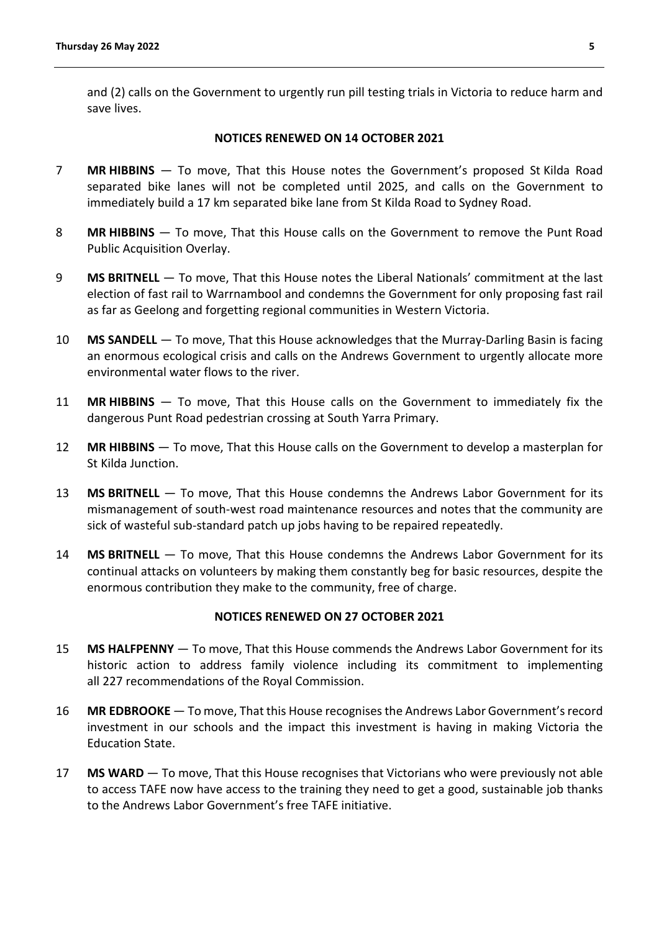and (2) calls on the Government to urgently run pill testing trials in Victoria to reduce harm and save lives.

#### **NOTICES RENEWED ON 14 OCTOBER 2021**

- 7 **MR HIBBINS** To move, That this House notes the Government's proposed St Kilda Road separated bike lanes will not be completed until 2025, and calls on the Government to immediately build a 17 km separated bike lane from St Kilda Road to Sydney Road.
- 8 **MR HIBBINS** To move, That this House calls on the Government to remove the Punt Road Public Acquisition Overlay.
- 9 **MS BRITNELL** To move, That this House notes the Liberal Nationals' commitment at the last election of fast rail to Warrnambool and condemns the Government for only proposing fast rail as far as Geelong and forgetting regional communities in Western Victoria.
- 10 **MS SANDELL** To move, That this House acknowledges that the Murray-Darling Basin is facing an enormous ecological crisis and calls on the Andrews Government to urgently allocate more environmental water flows to the river.
- 11 **MR HIBBINS** To move, That this House calls on the Government to immediately fix the dangerous Punt Road pedestrian crossing at South Yarra Primary.
- 12 **MR HIBBINS** To move, That this House calls on the Government to develop a masterplan for St Kilda Junction.
- 13 **MS BRITNELL** To move, That this House condemns the Andrews Labor Government for its mismanagement of south-west road maintenance resources and notes that the community are sick of wasteful sub-standard patch up jobs having to be repaired repeatedly.
- 14 **MS BRITNELL** To move, That this House condemns the Andrews Labor Government for its continual attacks on volunteers by making them constantly beg for basic resources, despite the enormous contribution they make to the community, free of charge.

#### **NOTICES RENEWED ON 27 OCTOBER 2021**

- 15 **MS HALFPENNY** To move, That this House commends the Andrews Labor Government for its historic action to address family violence including its commitment to implementing all 227 recommendations of the Royal Commission.
- 16 **MR EDBROOKE** To move, That this House recognises the Andrews Labor Government's record investment in our schools and the impact this investment is having in making Victoria the Education State.
- 17 **MS WARD** To move, That this House recognises that Victorians who were previously not able to access TAFE now have access to the training they need to get a good, sustainable job thanks to the Andrews Labor Government's free TAFE initiative.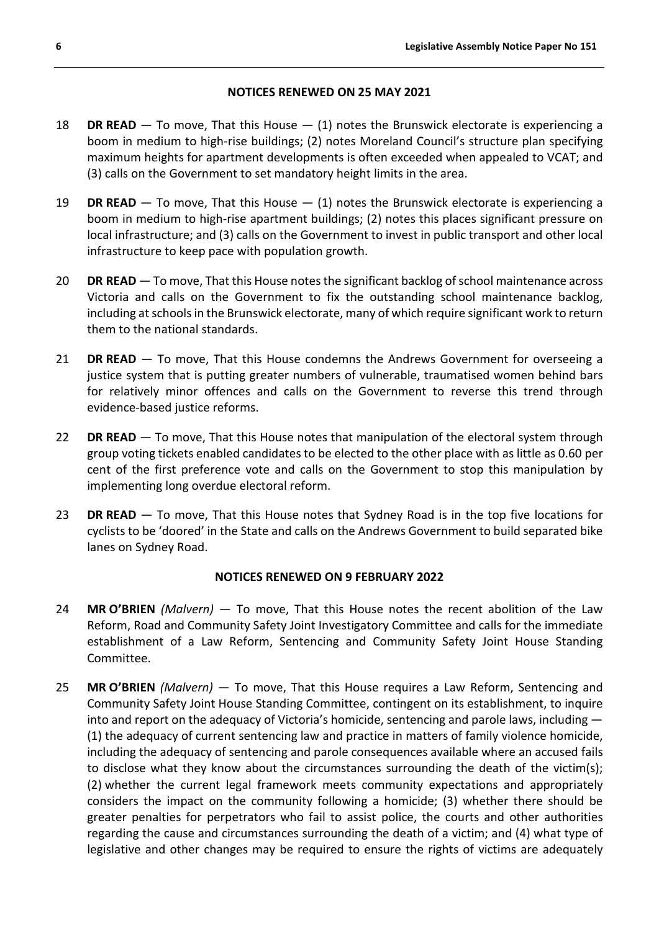# **NOTICES RENEWED ON 25 MAY 2021**

- 18 **DR READ** To move, That this House (1) notes the Brunswick electorate is experiencing a boom in medium to high-rise buildings; (2) notes Moreland Council's structure plan specifying maximum heights for apartment developments is often exceeded when appealed to VCAT; and (3) calls on the Government to set mandatory height limits in the area.
- 19 **DR READ** To move, That this House (1) notes the Brunswick electorate is experiencing a boom in medium to high-rise apartment buildings; (2) notes this places significant pressure on local infrastructure; and (3) calls on the Government to invest in public transport and other local infrastructure to keep pace with population growth.
- 20 **DR READ** To move, That this House notes the significant backlog of school maintenance across Victoria and calls on the Government to fix the outstanding school maintenance backlog, including at schools in the Brunswick electorate, many of which require significant work to return them to the national standards.
- 21 **DR READ** To move, That this House condemns the Andrews Government for overseeing a justice system that is putting greater numbers of vulnerable, traumatised women behind bars for relatively minor offences and calls on the Government to reverse this trend through evidence-based justice reforms.
- 22 **DR READ** To move, That this House notes that manipulation of the electoral system through group voting tickets enabled candidates to be elected to the other place with as little as 0.60 per cent of the first preference vote and calls on the Government to stop this manipulation by implementing long overdue electoral reform.
- 23 **DR READ** To move, That this House notes that Sydney Road is in the top five locations for cyclists to be 'doored' in the State and calls on the Andrews Government to build separated bike lanes on Sydney Road.

# **NOTICES RENEWED ON 9 FEBRUARY 2022**

- 24 **MR O'BRIEN** *(Malvern)* To move, That this House notes the recent abolition of the Law Reform, Road and Community Safety Joint Investigatory Committee and calls for the immediate establishment of a Law Reform, Sentencing and Community Safety Joint House Standing Committee.
- 25 **MR O'BRIEN** *(Malvern)* To move, That this House requires a Law Reform, Sentencing and Community Safety Joint House Standing Committee, contingent on its establishment, to inquire into and report on the adequacy of Victoria's homicide, sentencing and parole laws, including — (1) the adequacy of current sentencing law and practice in matters of family violence homicide, including the adequacy of sentencing and parole consequences available where an accused fails to disclose what they know about the circumstances surrounding the death of the victim(s); (2) whether the current legal framework meets community expectations and appropriately considers the impact on the community following a homicide; (3) whether there should be greater penalties for perpetrators who fail to assist police, the courts and other authorities regarding the cause and circumstances surrounding the death of a victim; and (4) what type of legislative and other changes may be required to ensure the rights of victims are adequately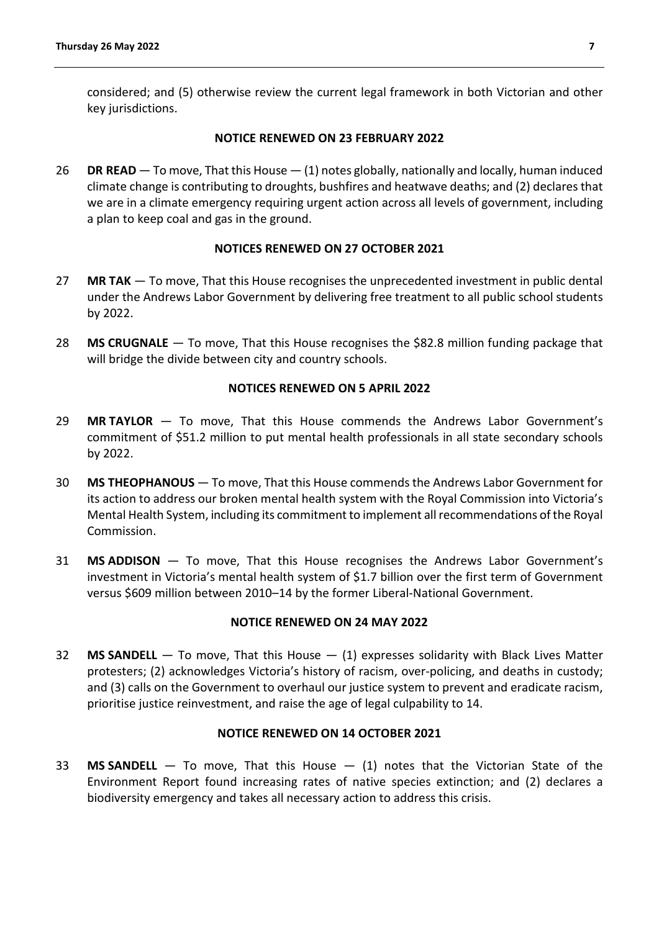considered; and (5) otherwise review the current legal framework in both Victorian and other key jurisdictions.

#### **NOTICE RENEWED ON 23 FEBRUARY 2022**

26 **DR READ** — To move, That this House — (1) notes globally, nationally and locally, human induced climate change is contributing to droughts, bushfires and heatwave deaths; and (2) declares that we are in a climate emergency requiring urgent action across all levels of government, including a plan to keep coal and gas in the ground.

# **NOTICES RENEWED ON 27 OCTOBER 2021**

- 27 **MR TAK** To move, That this House recognises the unprecedented investment in public dental under the Andrews Labor Government by delivering free treatment to all public school students by 2022.
- 28 **MS CRUGNALE** To move, That this House recognises the \$82.8 million funding package that will bridge the divide between city and country schools.

#### **NOTICES RENEWED ON 5 APRIL 2022**

- 29 **MR TAYLOR** To move, That this House commends the Andrews Labor Government's commitment of \$51.2 million to put mental health professionals in all state secondary schools by 2022.
- 30 **MS THEOPHANOUS** To move, That this House commends the Andrews Labor Government for its action to address our broken mental health system with the Royal Commission into Victoria's Mental Health System, including its commitment to implement all recommendations of the Royal Commission.
- 31 **MS ADDISON** To move, That this House recognises the Andrews Labor Government's investment in Victoria's mental health system of \$1.7 billion over the first term of Government versus \$609 million between 2010–14 by the former Liberal-National Government.

#### **NOTICE RENEWED ON 24 MAY 2022**

32 **MS SANDELL** — To move, That this House — (1) expresses solidarity with Black Lives Matter protesters; (2) acknowledges Victoria's history of racism, over-policing, and deaths in custody; and (3) calls on the Government to overhaul our justice system to prevent and eradicate racism, prioritise justice reinvestment, and raise the age of legal culpability to 14.

# **NOTICE RENEWED ON 14 OCTOBER 2021**

33 **MS SANDELL** — To move, That this House — (1) notes that the Victorian State of the Environment Report found increasing rates of native species extinction; and (2) declares a biodiversity emergency and takes all necessary action to address this crisis.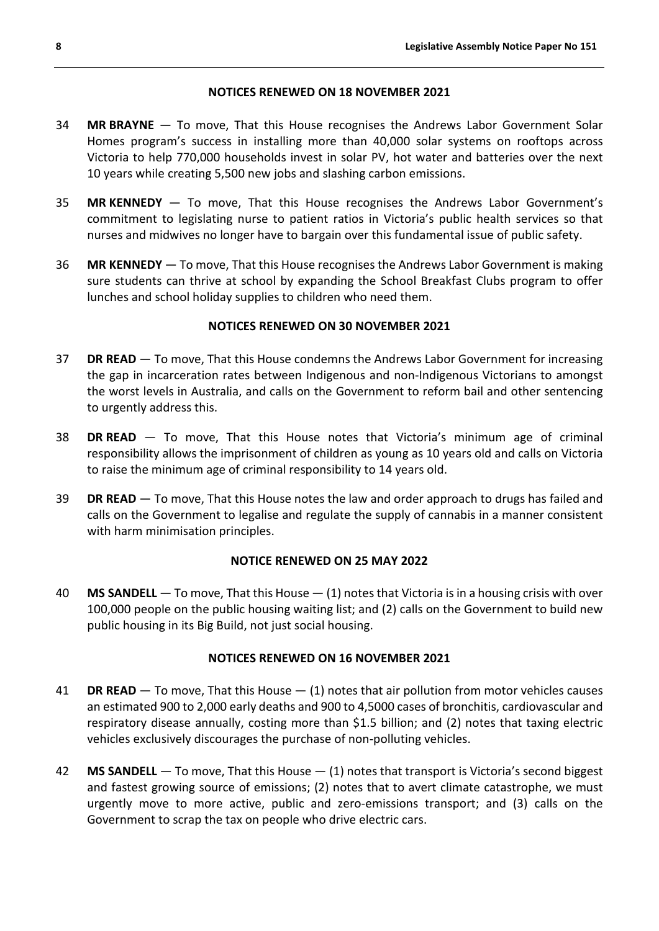#### **NOTICES RENEWED ON 18 NOVEMBER 2021**

- 34 **MR BRAYNE** To move, That this House recognises the Andrews Labor Government Solar Homes program's success in installing more than 40,000 solar systems on rooftops across Victoria to help 770,000 households invest in solar PV, hot water and batteries over the next 10 years while creating 5,500 new jobs and slashing carbon emissions.
- 35 **MR KENNEDY** To move, That this House recognises the Andrews Labor Government's commitment to legislating nurse to patient ratios in Victoria's public health services so that nurses and midwives no longer have to bargain over this fundamental issue of public safety.
- 36 **MR KENNEDY** To move, That this House recognises the Andrews Labor Government is making sure students can thrive at school by expanding the School Breakfast Clubs program to offer lunches and school holiday supplies to children who need them.

# **NOTICES RENEWED ON 30 NOVEMBER 2021**

- 37 **DR READ** To move, That this House condemns the Andrews Labor Government for increasing the gap in incarceration rates between Indigenous and non-Indigenous Victorians to amongst the worst levels in Australia, and calls on the Government to reform bail and other sentencing to urgently address this.
- 38 **DR READ** To move, That this House notes that Victoria's minimum age of criminal responsibility allows the imprisonment of children as young as 10 years old and calls on Victoria to raise the minimum age of criminal responsibility to 14 years old.
- 39 **DR READ** To move, That this House notes the law and order approach to drugs has failed and calls on the Government to legalise and regulate the supply of cannabis in a manner consistent with harm minimisation principles.

# **NOTICE RENEWED ON 25 MAY 2022**

40 **MS SANDELL** — To move, That this House — (1) notes that Victoria is in a housing crisis with over 100,000 people on the public housing waiting list; and (2) calls on the Government to build new public housing in its Big Build, not just social housing.

# **NOTICES RENEWED ON 16 NOVEMBER 2021**

- 41 **DR READ** To move, That this House (1) notes that air pollution from motor vehicles causes an estimated 900 to 2,000 early deaths and 900 to 4,5000 cases of bronchitis, cardiovascular and respiratory disease annually, costing more than \$1.5 billion; and (2) notes that taxing electric vehicles exclusively discourages the purchase of non-polluting vehicles.
- 42 **MS SANDELL** To move, That this House (1) notes that transport is Victoria's second biggest and fastest growing source of emissions; (2) notes that to avert climate catastrophe, we must urgently move to more active, public and zero-emissions transport; and (3) calls on the Government to scrap the tax on people who drive electric cars.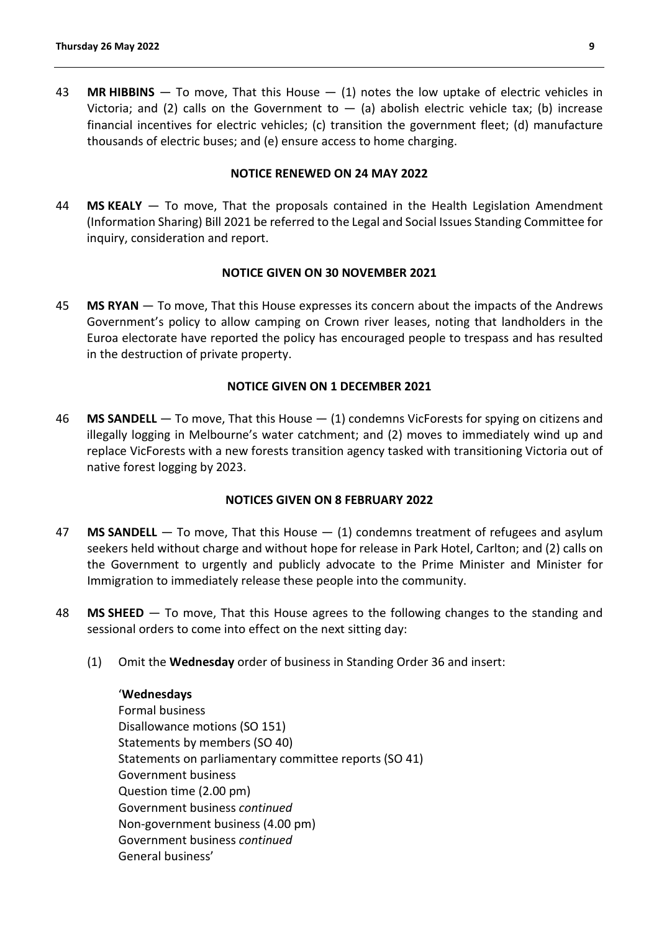43 **MR HIBBINS** — To move, That this House — (1) notes the low uptake of electric vehicles in Victoria; and (2) calls on the Government to  $-$  (a) abolish electric vehicle tax; (b) increase financial incentives for electric vehicles; (c) transition the government fleet; (d) manufacture thousands of electric buses; and (e) ensure access to home charging.

#### **NOTICE RENEWED ON 24 MAY 2022**

44 **MS KEALY** — To move, That the proposals contained in the Health Legislation Amendment (Information Sharing) Bill 2021 be referred to the Legal and Social Issues Standing Committee for inquiry, consideration and report.

#### **NOTICE GIVEN ON 30 NOVEMBER 2021**

45 **MS RYAN** — To move, That this House expresses its concern about the impacts of the Andrews Government's policy to allow camping on Crown river leases, noting that landholders in the Euroa electorate have reported the policy has encouraged people to trespass and has resulted in the destruction of private property.

#### **NOTICE GIVEN ON 1 DECEMBER 2021**

46 **MS SANDELL** — To move, That this House — (1) condemns VicForests for spying on citizens and illegally logging in Melbourne's water catchment; and (2) moves to immediately wind up and replace VicForests with a new forests transition agency tasked with transitioning Victoria out of native forest logging by 2023.

# **NOTICES GIVEN ON 8 FEBRUARY 2022**

- 47 **MS SANDELL** To move, That this House (1) condemns treatment of refugees and asylum seekers held without charge and without hope for release in Park Hotel, Carlton; and (2) calls on the Government to urgently and publicly advocate to the Prime Minister and Minister for Immigration to immediately release these people into the community.
- 48 **MS SHEED** To move, That this House agrees to the following changes to the standing and sessional orders to come into effect on the next sitting day:
	- (1) Omit the **Wednesday** order of business in Standing Order 36 and insert:

#### '**Wednesdays**

Formal business Disallowance motions (SO 151) Statements by members (SO 40) Statements on parliamentary committee reports (SO 41) Government business Question time (2.00 pm) Government business *continued* Non-government business (4.00 pm) Government business *continued* General business'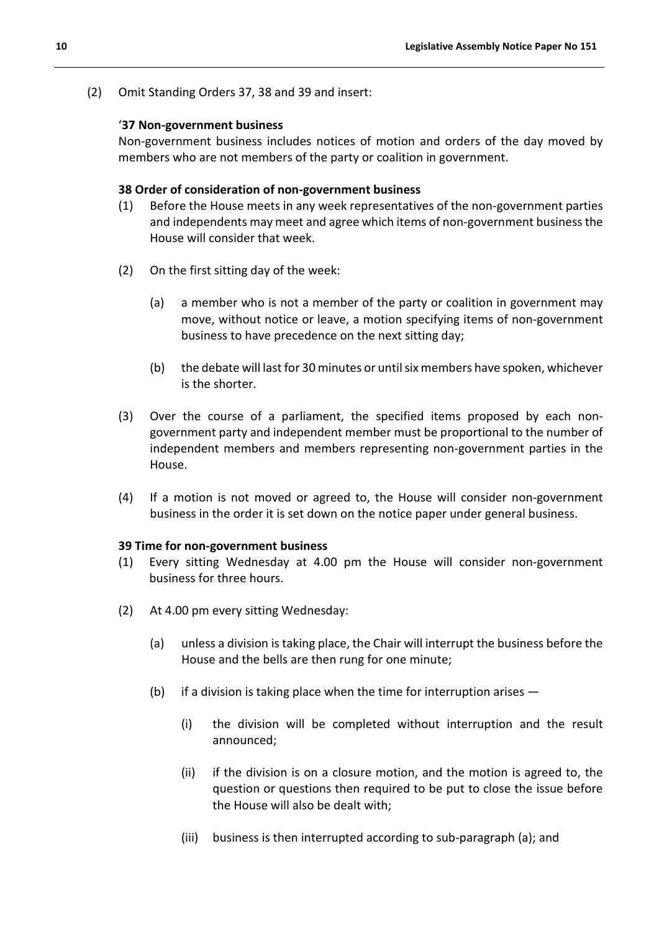(2) Omit Standing Orders 37, 38 and 39 and insert:

#### '**37 Non-government business**

Non-government business includes notices of motion and orders of the day moved by members who are not members of the party or coalition in government.

#### **38 Order of consideration of non-government business**

- (1) Before the House meets in any week representatives of the non-government parties and independents may meet and agree which items of non-government business the House will consider that week.
- (2) On the first sitting day of the week:
	- (a) a member who is not a member of the party or coalition in government may move, without notice or leave, a motion specifying items of non-government business to have precedence on the next sitting day;
	- (b) the debate will last for 30 minutes or until six members have spoken, whichever is the shorter.
- (3) Over the course of a parliament, the specified items proposed by each nongovernment party and independent member must be proportional to the number of independent members and members representing non-government parties in the House.
- (4) If a motion is not moved or agreed to, the House will consider non-government business in the order it is set down on the notice paper under general business.

#### **39 Time for non-government business**

- (1) Every sitting Wednesday at 4.00 pm the House will consider non-government business for three hours.
- (2) At 4.00 pm every sitting Wednesday:
	- (a) unless a division is taking place, the Chair will interrupt the business before the House and the bells are then rung for one minute;
	- (b) if a division is taking place when the time for interruption arises  $-$ 
		- (i) the division will be completed without interruption and the result announced;
		- (ii) if the division is on a closure motion, and the motion is agreed to, the question or questions then required to be put to close the issue before the House will also be dealt with;
		- (iii) business is then interrupted according to sub-paragraph (a); and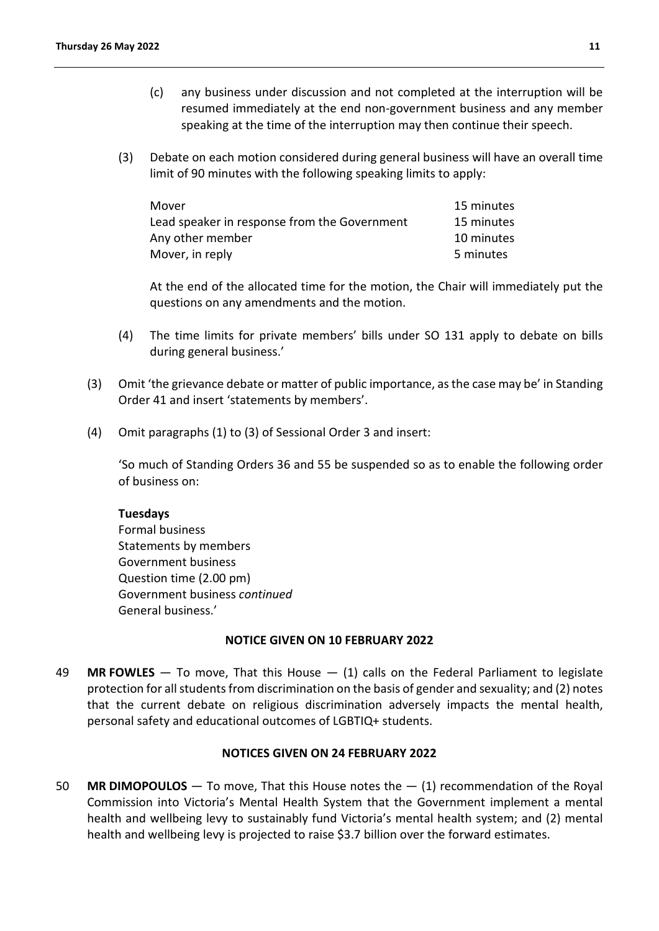- (c) any business under discussion and not completed at the interruption will be resumed immediately at the end non-government business and any member speaking at the time of the interruption may then continue their speech.
- (3) Debate on each motion considered during general business will have an overall time limit of 90 minutes with the following speaking limits to apply:

| Mover                                        | 15 minutes |
|----------------------------------------------|------------|
| Lead speaker in response from the Government | 15 minutes |
| Any other member                             | 10 minutes |
| Mover, in reply                              | 5 minutes  |

At the end of the allocated time for the motion, the Chair will immediately put the questions on any amendments and the motion.

- (4) The time limits for private members' bills under SO 131 apply to debate on bills during general business.'
- (3) Omit 'the grievance debate or matter of public importance, as the case may be' in Standing Order 41 and insert 'statements by members'.
- (4) Omit paragraphs (1) to (3) of Sessional Order 3 and insert:

'So much of Standing Orders 36 and 55 be suspended so as to enable the following order of business on:

# **Tuesdays**

Formal business Statements by members Government business Question time (2.00 pm) Government business *continued* General business.'

# **NOTICE GIVEN ON 10 FEBRUARY 2022**

49 **MR FOWLES** — To move, That this House — (1) calls on the Federal Parliament to legislate protection for all students from discrimination on the basis of gender and sexuality; and (2) notes that the current debate on religious discrimination adversely impacts the mental health, personal safety and educational outcomes of LGBTIQ+ students.

# **NOTICES GIVEN ON 24 FEBRUARY 2022**

50 **MR DIMOPOULOS** — To move, That this House notes the — (1) recommendation of the Royal Commission into Victoria's Mental Health System that the Government implement a mental health and wellbeing levy to sustainably fund Victoria's mental health system; and (2) mental health and wellbeing levy is projected to raise \$3.7 billion over the forward estimates.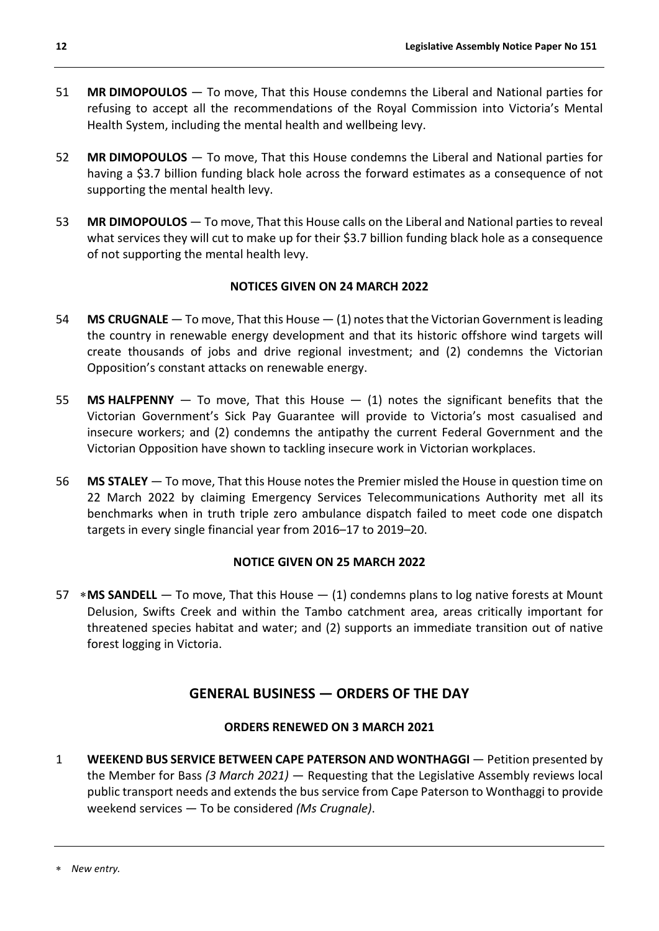- 51 **MR DIMOPOULOS** To move, That this House condemns the Liberal and National parties for refusing to accept all the recommendations of the Royal Commission into Victoria's Mental Health System, including the mental health and wellbeing levy.
- 52 **MR DIMOPOULOS** To move, That this House condemns the Liberal and National parties for having a \$3.7 billion funding black hole across the forward estimates as a consequence of not supporting the mental health levy.
- 53 **MR DIMOPOULOS** To move, That this House calls on the Liberal and National parties to reveal what services they will cut to make up for their \$3.7 billion funding black hole as a consequence of not supporting the mental health levy.

# **NOTICES GIVEN ON 24 MARCH 2022**

- 54 **MS CRUGNALE** To move, That this House (1) notes that the Victorian Government is leading the country in renewable energy development and that its historic offshore wind targets will create thousands of jobs and drive regional investment; and (2) condemns the Victorian Opposition's constant attacks on renewable energy.
- 55 **MS HALFPENNY** To move, That this House (1) notes the significant benefits that the Victorian Government's Sick Pay Guarantee will provide to Victoria's most casualised and insecure workers; and (2) condemns the antipathy the current Federal Government and the Victorian Opposition have shown to tackling insecure work in Victorian workplaces.
- 56 **MS STALEY** To move, That this House notes the Premier misled the House in question time on 22 March 2022 by claiming Emergency Services Telecommunications Authority met all its benchmarks when in truth triple zero ambulance dispatch failed to meet code one dispatch targets in every single financial year from 2016–17 to 2019–20.

# **NOTICE GIVEN ON 25 MARCH 2022**

57 [∗](#page-11-1)**MS SANDELL** — To move, That this House — (1) condemns plans to log native forests at Mount Delusion, Swifts Creek and within the Tambo catchment area, areas critically important for threatened species habitat and water; and (2) supports an immediate transition out of native forest logging in Victoria.

# **GENERAL BUSINESS — ORDERS OF THE DAY**

# **ORDERS RENEWED ON 3 MARCH 2021**

<span id="page-11-1"></span><span id="page-11-0"></span>1 **WEEKEND BUS SERVICE BETWEEN CAPE PATERSON AND WONTHAGGI** — Petition presented by the Member for Bass *(3 March 2021)* — Requesting that the Legislative Assembly reviews local public transport needs and extends the bus service from Cape Paterson to Wonthaggi to provide weekend services — To be considered *(Ms Crugnale)*.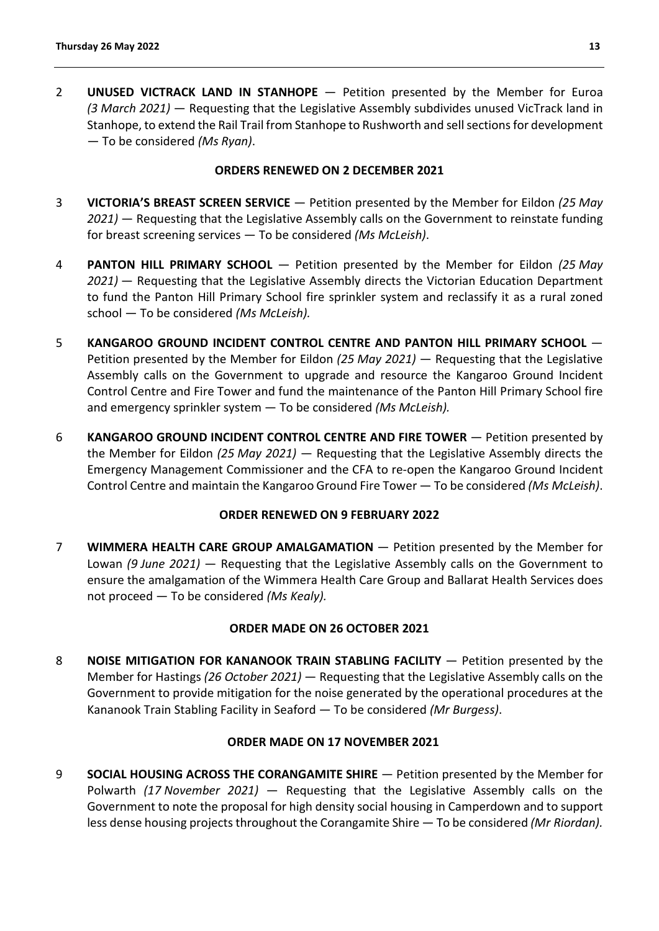2 **UNUSED VICTRACK LAND IN STANHOPE** — Petition presented by the Member for Euroa *(3 March 2021)* — Requesting that the Legislative Assembly subdivides unused VicTrack land in Stanhope, to extend the Rail Trail from Stanhope to Rushworth and sell sections for development — To be considered *(Ms Ryan)*.

# **ORDERS RENEWED ON 2 DECEMBER 2021**

- 3 **VICTORIA'S BREAST SCREEN SERVICE** Petition presented by the Member for Eildon *(25 May 2021)* — Requesting that the Legislative Assembly calls on the Government to reinstate funding for breast screening services — To be considered *(Ms McLeish)*.
- 4 **PANTON HILL PRIMARY SCHOOL**  Petition presented by the Member for Eildon *(25 May 2021)* — Requesting that the Legislative Assembly directs the Victorian Education Department to fund the Panton Hill Primary School fire sprinkler system and reclassify it as a rural zoned school — To be considered *(Ms McLeish).*
- 5 **KANGAROO GROUND INCIDENT CONTROL CENTRE AND PANTON HILL PRIMARY SCHOOL**  Petition presented by the Member for Eildon *(25 May 2021)* — Requesting that the Legislative Assembly calls on the Government to upgrade and resource the Kangaroo Ground Incident Control Centre and Fire Tower and fund the maintenance of the Panton Hill Primary School fire and emergency sprinkler system — To be considered *(Ms McLeish).*
- 6 **KANGAROO GROUND INCIDENT CONTROL CENTRE AND FIRE TOWER**  Petition presented by the Member for Eildon *(25 May 2021)* — Requesting that the Legislative Assembly directs the Emergency Management Commissioner and the CFA to re-open the Kangaroo Ground Incident Control Centre and maintain the Kangaroo Ground Fire Tower — To be considered *(Ms McLeish)*.

# **ORDER RENEWED ON 9 FEBRUARY 2022**

7 **WIMMERA HEALTH CARE GROUP AMALGAMATION** — Petition presented by the Member for Lowan *(9 June 2021)* — Requesting that the Legislative Assembly calls on the Government to ensure the amalgamation of the Wimmera Health Care Group and Ballarat Health Services does not proceed — To be considered *(Ms Kealy).*

# **ORDER MADE ON 26 OCTOBER 2021**

8 **NOISE MITIGATION FOR KANANOOK TRAIN STABLING FACILITY** — Petition presented by the Member for Hastings *(26 October 2021)* — Requesting that the Legislative Assembly calls on the Government to provide mitigation for the noise generated by the operational procedures at the Kananook Train Stabling Facility in Seaford — To be considered *(Mr Burgess)*.

#### **ORDER MADE ON 17 NOVEMBER 2021**

9 **SOCIAL HOUSING ACROSS THE CORANGAMITE SHIRE** — Petition presented by the Member for Polwarth *(17 November 2021)* — Requesting that the Legislative Assembly calls on the Government to note the proposal for high density social housing in Camperdown and to support less dense housing projects throughout the Corangamite Shire — To be considered *(Mr Riordan).*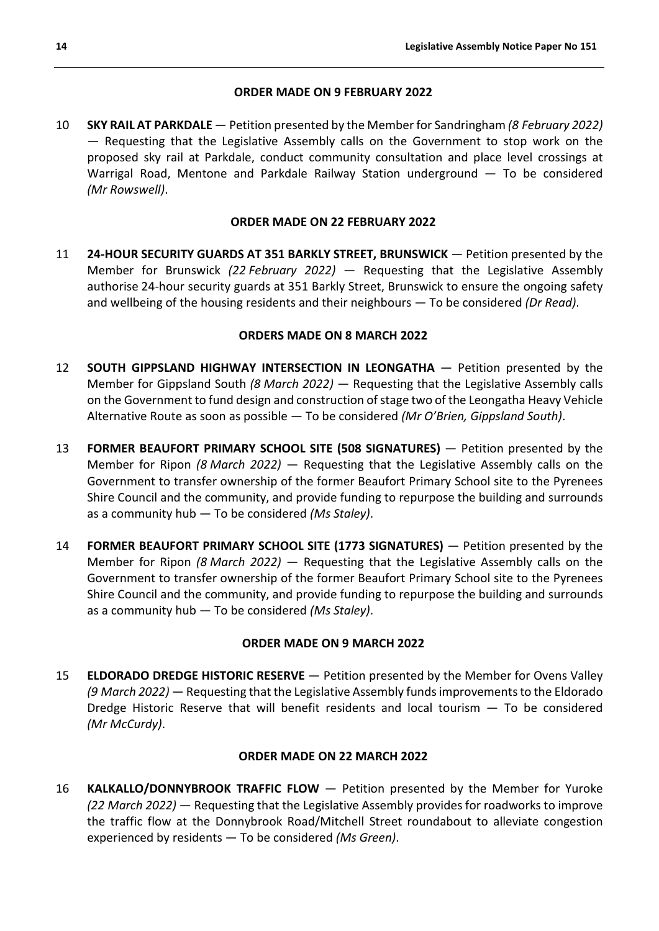#### **ORDER MADE ON 9 FEBRUARY 2022**

10 **SKY RAIL AT PARKDALE** — Petition presented by the Member for Sandringham *(8 February 2022)* — Requesting that the Legislative Assembly calls on the Government to stop work on the proposed sky rail at Parkdale, conduct community consultation and place level crossings at Warrigal Road, Mentone and Parkdale Railway Station underground — To be considered *(Mr Rowswell)*.

#### **ORDER MADE ON 22 FEBRUARY 2022**

11 **24-HOUR SECURITY GUARDS AT 351 BARKLY STREET, BRUNSWICK** — Petition presented by the Member for Brunswick *(22 February 2022)* — Requesting that the Legislative Assembly authorise 24-hour security guards at 351 Barkly Street, Brunswick to ensure the ongoing safety and wellbeing of the housing residents and their neighbours — To be considered *(Dr Read)*.

#### **ORDERS MADE ON 8 MARCH 2022**

- 12 **SOUTH GIPPSLAND HIGHWAY INTERSECTION IN LEONGATHA**  Petition presented by the Member for Gippsland South *(8 March 2022)* — Requesting that the Legislative Assembly calls on the Government to fund design and construction of stage two of the Leongatha Heavy Vehicle Alternative Route as soon as possible — To be considered *(Mr O'Brien, Gippsland South)*.
- 13 **FORMER BEAUFORT PRIMARY SCHOOL SITE (508 SIGNATURES)**  Petition presented by the Member for Ripon *(8 March 2022)* — Requesting that the Legislative Assembly calls on the Government to transfer ownership of the former Beaufort Primary School site to the Pyrenees Shire Council and the community, and provide funding to repurpose the building and surrounds as a community hub — To be considered *(Ms Staley)*.
- 14 **FORMER BEAUFORT PRIMARY SCHOOL SITE (1773 SIGNATURES)** Petition presented by the Member for Ripon *(8 March 2022)* — Requesting that the Legislative Assembly calls on the Government to transfer ownership of the former Beaufort Primary School site to the Pyrenees Shire Council and the community, and provide funding to repurpose the building and surrounds as a community hub — To be considered *(Ms Staley)*.

#### **ORDER MADE ON 9 MARCH 2022**

15 **ELDORADO DREDGE HISTORIC RESERVE** — Petition presented by the Member for Ovens Valley *(9 March 2022)* — Requesting that the Legislative Assembly funds improvements to the Eldorado Dredge Historic Reserve that will benefit residents and local tourism — To be considered *(Mr McCurdy)*.

#### **ORDER MADE ON 22 MARCH 2022**

16 **KALKALLO/DONNYBROOK TRAFFIC FLOW** — Petition presented by the Member for Yuroke *(22 March 2022)* — Requesting that the Legislative Assembly provides for roadworks to improve the traffic flow at the Donnybrook Road/Mitchell Street roundabout to alleviate congestion experienced by residents — To be considered *(Ms Green)*.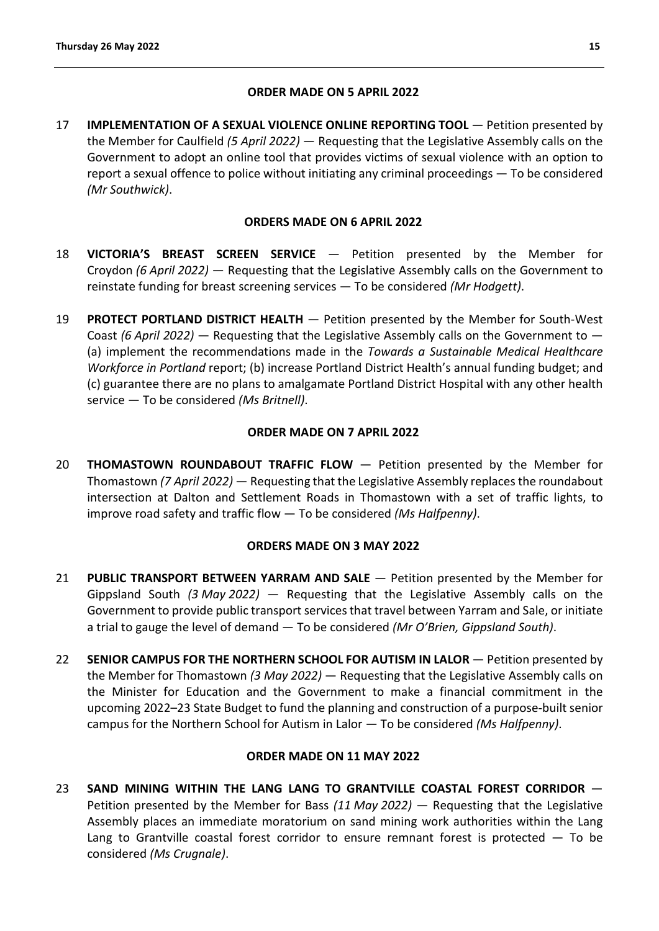# **ORDER MADE ON 5 APRIL 2022**

17 **IMPLEMENTATION OF A SEXUAL VIOLENCE ONLINE REPORTING TOOL** — Petition presented by the Member for Caulfield *(5 April 2022)* — Requesting that the Legislative Assembly calls on the Government to adopt an online tool that provides victims of sexual violence with an option to report a sexual offence to police without initiating any criminal proceedings — To be considered *(Mr Southwick)*.

# **ORDERS MADE ON 6 APRIL 2022**

- 18 **VICTORIA'S BREAST SCREEN SERVICE** Petition presented by the Member for Croydon *(6 April 2022)* — Requesting that the Legislative Assembly calls on the Government to reinstate funding for breast screening services — To be considered *(Mr Hodgett)*.
- 19 **PROTECT PORTLAND DISTRICT HEALTH** Petition presented by the Member for South-West Coast *(6 April 2022)* — Requesting that the Legislative Assembly calls on the Government to — (a) implement the recommendations made in the *Towards a Sustainable Medical Healthcare Workforce in Portland* report; (b) increase Portland District Health's annual funding budget; and (c) guarantee there are no plans to amalgamate Portland District Hospital with any other health service — To be considered *(Ms Britnell)*.

# **ORDER MADE ON 7 APRIL 2022**

20 **THOMASTOWN ROUNDABOUT TRAFFIC FLOW** — Petition presented by the Member for Thomastown *(7 April 2022)* — Requesting that the Legislative Assembly replaces the roundabout intersection at Dalton and Settlement Roads in Thomastown with a set of traffic lights, to improve road safety and traffic flow — To be considered *(Ms Halfpenny)*.

# **ORDERS MADE ON 3 MAY 2022**

- 21 **PUBLIC TRANSPORT BETWEEN YARRAM AND SALE**  Petition presented by the Member for Gippsland South *(3 May 2022)* — Requesting that the Legislative Assembly calls on the Government to provide public transport services that travel between Yarram and Sale, or initiate a trial to gauge the level of demand — To be considered *(Mr O'Brien, Gippsland South)*.
- 22 **SENIOR CAMPUS FOR THE NORTHERN SCHOOL FOR AUTISM IN LALOR** Petition presented by the Member for Thomastown *(3 May 2022)* — Requesting that the Legislative Assembly calls on the Minister for Education and the Government to make a financial commitment in the upcoming 2022–23 State Budget to fund the planning and construction of a purpose-built senior campus for the Northern School for Autism in Lalor — To be considered *(Ms Halfpenny)*.

# **ORDER MADE ON 11 MAY 2022**

23 **SAND MINING WITHIN THE LANG LANG TO GRANTVILLE COASTAL FOREST CORRIDOR** — Petition presented by the Member for Bass *(11 May 2022)* — Requesting that the Legislative Assembly places an immediate moratorium on sand mining work authorities within the Lang Lang to Grantville coastal forest corridor to ensure remnant forest is protected  $-$  To be considered *(Ms Crugnale)*.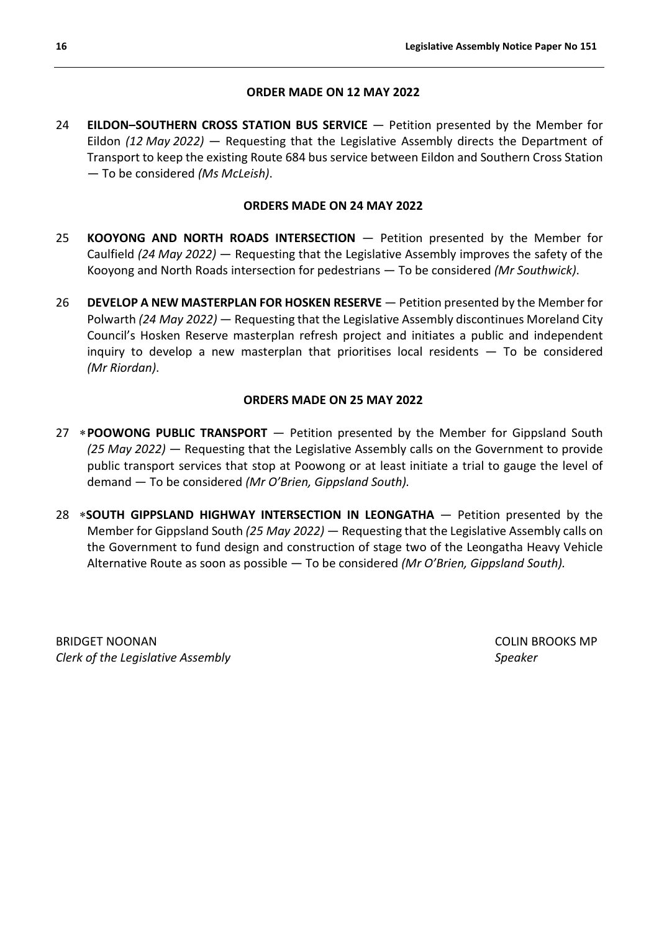# **ORDER MADE ON 12 MAY 2022**

24 **EILDON–SOUTHERN CROSS STATION BUS SERVICE** — Petition presented by the Member for Eildon *(12 May 2022)* — Requesting that the Legislative Assembly directs the Department of Transport to keep the existing Route 684 bus service between Eildon and Southern Cross Station — To be considered *(Ms McLeish)*.

# **ORDERS MADE ON 24 MAY 2022**

- 25 **KOOYONG AND NORTH ROADS INTERSECTION**  Petition presented by the Member for Caulfield *(24 May 2022)* — Requesting that the Legislative Assembly improves the safety of the Kooyong and North Roads intersection for pedestrians — To be considered *(Mr Southwick)*.
- 26 **DEVELOP A NEW MASTERPLAN FOR HOSKEN RESERVE**  Petition presented by the Member for Polwarth *(24 May 2022)* — Requesting that the Legislative Assembly discontinues Moreland City Council's Hosken Reserve masterplan refresh project and initiates a public and independent inquiry to develop a new masterplan that prioritises local residents — To be considered *(Mr Riordan)*.

# **ORDERS MADE ON 25 MAY 2022**

- 27 ∗**POOWONG PUBLIC TRANSPORT**  Petition presented by the Member for Gippsland South *(25 May 2022)* — Requesting that the Legislative Assembly calls on the Government to provide public transport services that stop at Poowong or at least initiate a trial to gauge the level of demand — To be considered *(Mr O'Brien, Gippsland South).*
- 28 ∗**SOUTH GIPPSLAND HIGHWAY INTERSECTION IN LEONGATHA**  Petition presented by the Member for Gippsland South *(25 May 2022)* — Requesting that the Legislative Assembly calls on the Government to fund design and construction of stage two of the Leongatha Heavy Vehicle Alternative Route as soon as possible — To be considered *(Mr O'Brien, Gippsland South).*

BRIDGET NOONAN COLIN BROOKS MP *Clerk of the Legislative Assembly Speaker*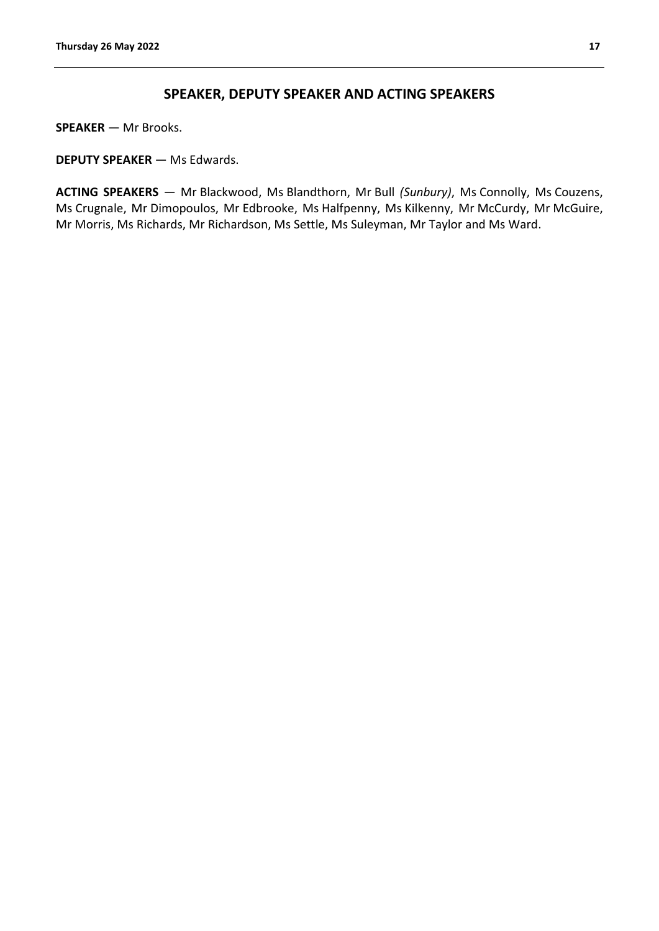# **SPEAKER, DEPUTY SPEAKER AND ACTING SPEAKERS**

<span id="page-16-0"></span>**SPEAKER** — Mr Brooks.

**DEPUTY SPEAKER** — Ms Edwards.

**ACTING SPEAKERS** — Mr Blackwood, Ms Blandthorn, Mr Bull *(Sunbury)*, Ms Connolly, Ms Couzens, Ms Crugnale, Mr Dimopoulos, Mr Edbrooke, Ms Halfpenny, Ms Kilkenny, Mr McCurdy, Mr McGuire, Mr Morris, Ms Richards, Mr Richardson, Ms Settle, Ms Suleyman, Mr Taylor and Ms Ward.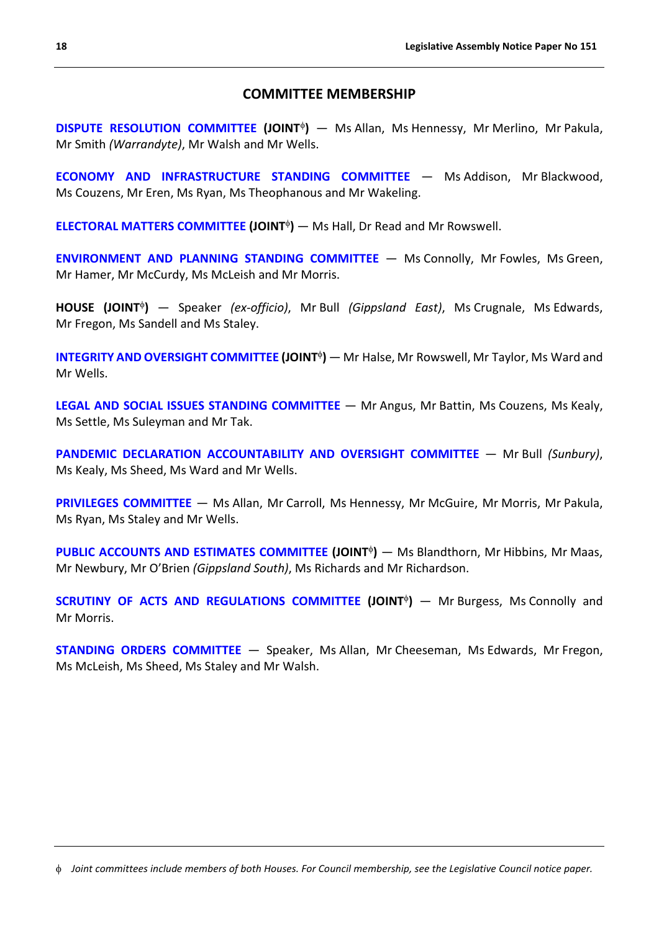# **COMMITTEE MEMBERSHIP**

<span id="page-17-0"></span>**[DISPUTE RESOLUTION COMMITTEE](https://www.parliament.vic.gov.au/dispute-resolution) (JOINT<sup>¢</sup>)** — Ms Allan, Ms Hennessy, Mr Merlino, Mr Pakula, Mr Smith *(Warrandyte)*, Mr Walsh and Mr Wells.

**[ECONOMY AND INFRASTRUCTURE STANDING COMMITTEE](https://www.parliament.vic.gov.au/eic-la?showyear=0§ion_id=951&cat_id=951)** — Ms Addison, Mr Blackwood, Ms Couzens, Mr Eren, Ms Ryan, Ms Theophanous and Mr Wakeling.

**[ELECTORAL MATTERS COMMITTEE](https://www.parliament.vic.gov.au/emc) (JOINT<sup>¢</sup>)** — Ms Hall, Dr Read and Mr Rowswell.

**[ENVIRONMENT AND PLANNING STANDING COMMITTEE](https://www.parliament.vic.gov.au/epc-la?showyear=0§ion_id=952&cat_id=453)** — Ms Connolly, Mr Fowles, Ms Green, Mr Hamer, Mr McCurdy, Ms McLeish and Mr Morris.

**HOUSE (JOINT**<sup>φ</sup>**)** — Speaker *(ex-officio)*, Mr Bull *(Gippsland East)*, Ms Crugnale, Ms Edwards, Mr Fregon, Ms Sandell and Ms Staley.

**[INTEGRITY AND OVERSIGHT COMMITTEE](https://www.parliament.vic.gov.au/ioc) (JOINT<sup>®</sup>)** — Mr Halse, Mr Rowswell, Mr Taylor, Ms Ward and Mr Wells.

**[LEGAL AND SOCIAL ISSUES STANDING COMMITTEE](https://www.parliament.vic.gov.au/lsic-la?showyear=0§ion_id=953&cat_id=453)** — Mr Angus, Mr Battin, Ms Couzens, Ms Kealy, Ms Settle, Ms Suleyman and Mr Tak.

**[PANDEMIC DECLARATION ACCOUNTABILITY AND OVERSIGHT COMMITTEE](https://www.parliament.vic.gov.au/pdaoc)** — Mr Bull *(Sunbury)*, Ms Kealy, Ms Sheed, Ms Ward and Mr Wells.

**[PRIVILEGES COMMITTEE](https://www.parliament.vic.gov.au/la-privileges)** — Ms Allan, Mr Carroll, Ms Hennessy, Mr McGuire, Mr Morris, Mr Pakula, Ms Ryan, Ms Staley and Mr Wells.

**[PUBLIC ACCOUNTS AND ESTIMATES COMMITTEE](https://www.parliament.vic.gov.au/paec) (JOINT<sup>¢</sup>)** — Ms Blandthorn, Mr Hibbins, Mr Maas, Mr Newbury, Mr O'Brien *(Gippsland South)*, Ms Richards and Mr Richardson.

**[SCRUTINY OF ACTS AND REGULATIONS COMMITTEE](https://www.parliament.vic.gov.au/sarc) (JOINT<sup>¢</sup>) — Mr Burgess, Ms Connolly and** Mr Morris.

**[STANDING ORDERS COMMITTEE](https://www.parliament.vic.gov.au/la-standing-orders)** — Speaker, Ms Allan, Mr Cheeseman, Ms Edwards, Mr Fregon, Ms McLeish, Ms Sheed, Ms Staley and Mr Walsh.

<span id="page-17-1"></span>φ *Joint committees include members of both Houses. For Council membership, see the Legislative Council notice paper.*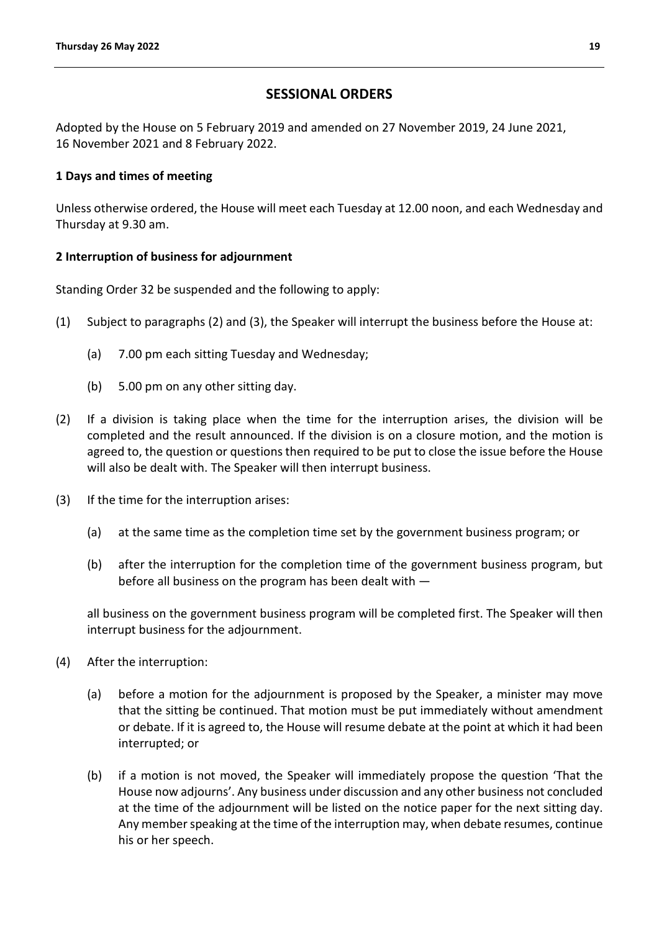# **SESSIONAL ORDERS**

<span id="page-18-0"></span>Adopted by the House on 5 February 2019 and amended on 27 November 2019, 24 June 2021, 16 November 2021 and 8 February 2022.

# **1 Days and times of meeting**

Unless otherwise ordered, the House will meet each Tuesday at 12.00 noon, and each Wednesday and Thursday at 9.30 am.

# **2 Interruption of business for adjournment**

Standing Order 32 be suspended and the following to apply:

- (1) Subject to paragraphs (2) and (3), the Speaker will interrupt the business before the House at:
	- (a) 7.00 pm each sitting Tuesday and Wednesday;
	- (b) 5.00 pm on any other sitting day.
- (2) If a division is taking place when the time for the interruption arises, the division will be completed and the result announced. If the division is on a closure motion, and the motion is agreed to, the question or questions then required to be put to close the issue before the House will also be dealt with. The Speaker will then interrupt business.
- (3) If the time for the interruption arises:
	- (a) at the same time as the completion time set by the government business program; or
	- (b) after the interruption for the completion time of the government business program, but before all business on the program has been dealt with —

all business on the government business program will be completed first. The Speaker will then interrupt business for the adjournment.

- (4) After the interruption:
	- (a) before a motion for the adjournment is proposed by the Speaker, a minister may move that the sitting be continued. That motion must be put immediately without amendment or debate. If it is agreed to, the House will resume debate at the point at which it had been interrupted; or
	- (b) if a motion is not moved, the Speaker will immediately propose the question 'That the House now adjourns'. Any business under discussion and any other business not concluded at the time of the adjournment will be listed on the notice paper for the next sitting day. Any member speaking at the time of the interruption may, when debate resumes, continue his or her speech.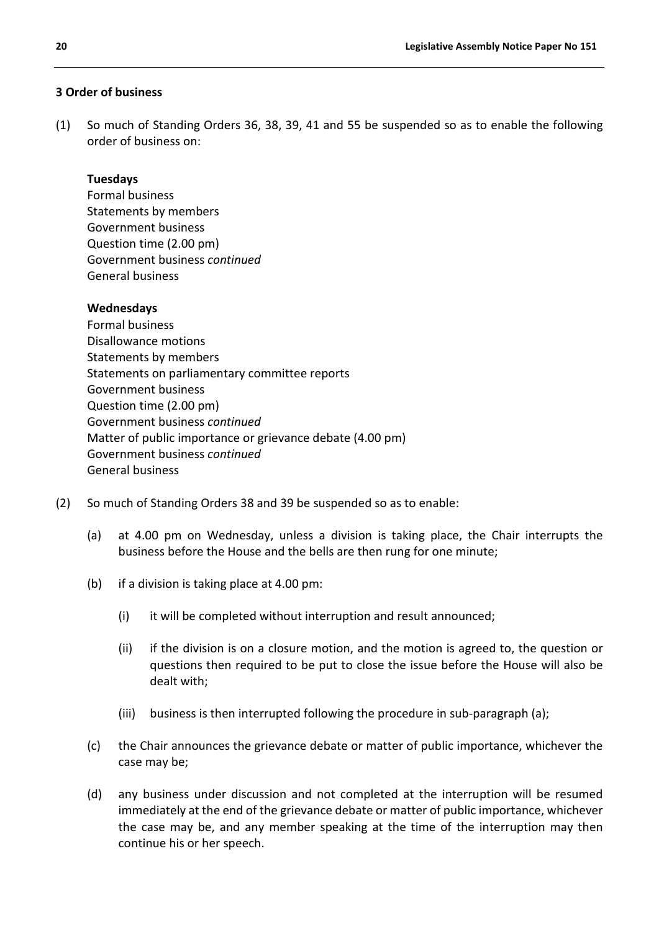# **3 Order of business**

(1) So much of Standing Orders 36, 38, 39, 41 and 55 be suspended so as to enable the following order of business on:

#### **Tuesdays**

Formal business Statements by members Government business Question time (2.00 pm) Government business *continued* General business

#### **Wednesdays**

Formal business Disallowance motions Statements by members Statements on parliamentary committee reports Government business Question time (2.00 pm) Government business *continued* Matter of public importance or grievance debate (4.00 pm) Government business *continued* General business

- (2) So much of Standing Orders 38 and 39 be suspended so as to enable:
	- (a) at 4.00 pm on Wednesday, unless a division is taking place, the Chair interrupts the business before the House and the bells are then rung for one minute;
	- (b) if a division is taking place at 4.00 pm:
		- (i) it will be completed without interruption and result announced;
		- (ii) if the division is on a closure motion, and the motion is agreed to, the question or questions then required to be put to close the issue before the House will also be dealt with;
		- (iii) business is then interrupted following the procedure in sub-paragraph (a);
	- (c) the Chair announces the grievance debate or matter of public importance, whichever the case may be;
	- (d) any business under discussion and not completed at the interruption will be resumed immediately at the end of the grievance debate or matter of public importance, whichever the case may be, and any member speaking at the time of the interruption may then continue his or her speech.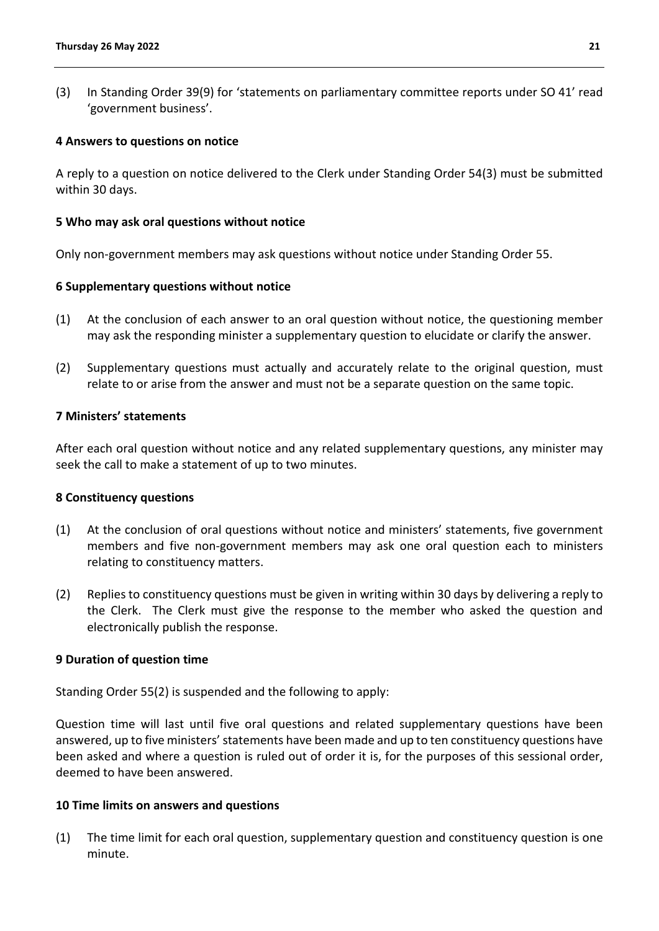(3) In Standing Order 39(9) for 'statements on parliamentary committee reports under SO 41' read 'government business'.

#### **4 Answers to questions on notice**

A reply to a question on notice delivered to the Clerk under Standing Order 54(3) must be submitted within 30 days.

#### **5 Who may ask oral questions without notice**

Only non-government members may ask questions without notice under Standing Order 55.

#### **6 Supplementary questions without notice**

- (1) At the conclusion of each answer to an oral question without notice, the questioning member may ask the responding minister a supplementary question to elucidate or clarify the answer.
- (2) Supplementary questions must actually and accurately relate to the original question, must relate to or arise from the answer and must not be a separate question on the same topic.

#### **7 Ministers' statements**

After each oral question without notice and any related supplementary questions, any minister may seek the call to make a statement of up to two minutes.

#### **8 Constituency questions**

- (1) At the conclusion of oral questions without notice and ministers' statements, five government members and five non-government members may ask one oral question each to ministers relating to constituency matters.
- (2) Replies to constituency questions must be given in writing within 30 days by delivering a reply to the Clerk. The Clerk must give the response to the member who asked the question and electronically publish the response.

#### **9 Duration of question time**

Standing Order 55(2) is suspended and the following to apply:

Question time will last until five oral questions and related supplementary questions have been answered, up to five ministers' statements have been made and up to ten constituency questions have been asked and where a question is ruled out of order it is, for the purposes of this sessional order, deemed to have been answered.

#### **10 Time limits on answers and questions**

(1) The time limit for each oral question, supplementary question and constituency question is one minute.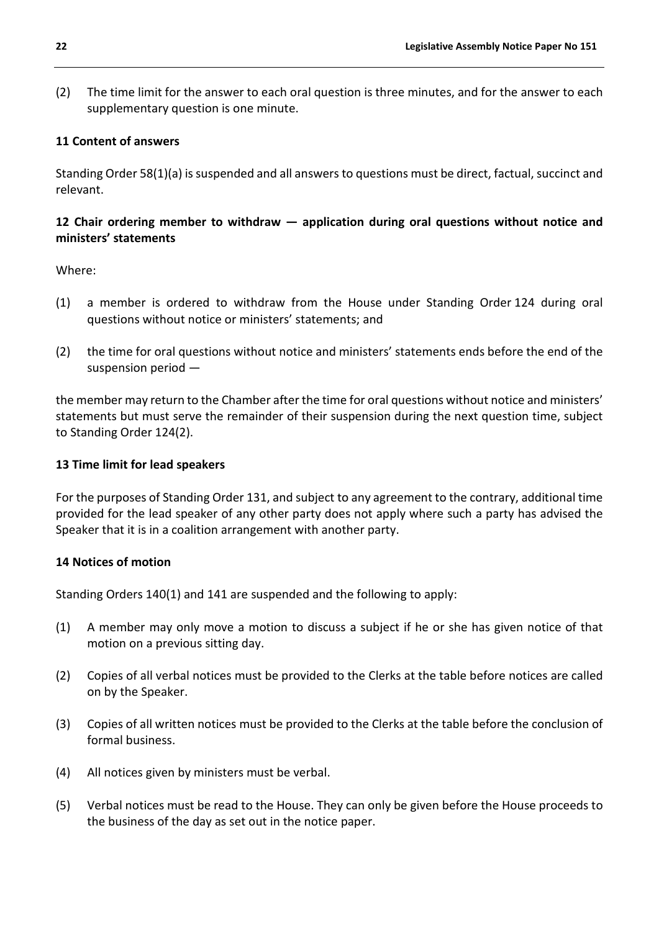(2) The time limit for the answer to each oral question is three minutes, and for the answer to each supplementary question is one minute.

# **11 Content of answers**

Standing Order 58(1)(a) is suspended and all answers to questions must be direct, factual, succinct and relevant.

# **12 Chair ordering member to withdraw — application during oral questions without notice and ministers' statements**

Where:

- (1) a member is ordered to withdraw from the House under Standing Order 124 during oral questions without notice or ministers' statements; and
- (2) the time for oral questions without notice and ministers' statements ends before the end of the suspension period —

the member may return to the Chamber after the time for oral questions without notice and ministers' statements but must serve the remainder of their suspension during the next question time, subject to Standing Order 124(2).

#### **13 Time limit for lead speakers**

For the purposes of Standing Order 131, and subject to any agreement to the contrary, additional time provided for the lead speaker of any other party does not apply where such a party has advised the Speaker that it is in a coalition arrangement with another party.

#### **14 Notices of motion**

Standing Orders 140(1) and 141 are suspended and the following to apply:

- (1) A member may only move a motion to discuss a subject if he or she has given notice of that motion on a previous sitting day.
- (2) Copies of all verbal notices must be provided to the Clerks at the table before notices are called on by the Speaker.
- (3) Copies of all written notices must be provided to the Clerks at the table before the conclusion of formal business.
- (4) All notices given by ministers must be verbal.
- (5) Verbal notices must be read to the House. They can only be given before the House proceeds to the business of the day as set out in the notice paper.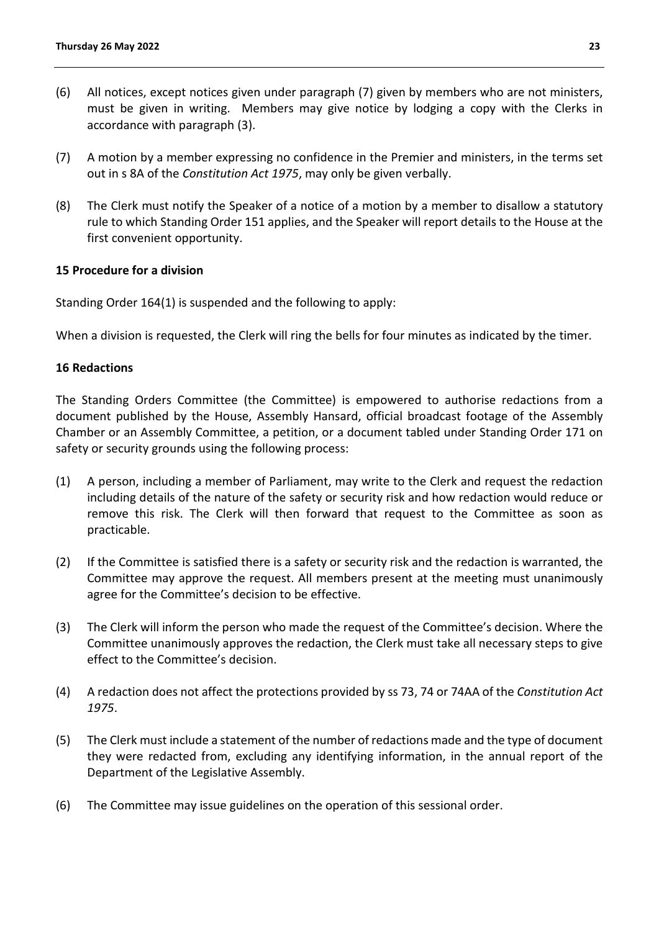- (6) All notices, except notices given under paragraph (7) given by members who are not ministers, must be given in writing. Members may give notice by lodging a copy with the Clerks in accordance with paragraph (3).
- (7) A motion by a member expressing no confidence in the Premier and ministers, in the terms set out in s 8A of the *Constitution Act 1975*, may only be given verbally.
- (8) The Clerk must notify the Speaker of a notice of a motion by a member to disallow a statutory rule to which Standing Order 151 applies, and the Speaker will report details to the House at the first convenient opportunity.

# **15 Procedure for a division**

Standing Order 164(1) is suspended and the following to apply:

When a division is requested, the Clerk will ring the bells for four minutes as indicated by the timer.

# **16 Redactions**

The Standing Orders Committee (the Committee) is empowered to authorise redactions from a document published by the House, Assembly Hansard, official broadcast footage of the Assembly Chamber or an Assembly Committee, a petition, or a document tabled under Standing Order 171 on safety or security grounds using the following process:

- (1) A person, including a member of Parliament, may write to the Clerk and request the redaction including details of the nature of the safety or security risk and how redaction would reduce or remove this risk. The Clerk will then forward that request to the Committee as soon as practicable.
- (2) If the Committee is satisfied there is a safety or security risk and the redaction is warranted, the Committee may approve the request. All members present at the meeting must unanimously agree for the Committee's decision to be effective.
- (3) The Clerk will inform the person who made the request of the Committee's decision. Where the Committee unanimously approves the redaction, the Clerk must take all necessary steps to give effect to the Committee's decision.
- (4) A redaction does not affect the protections provided by ss 73, 74 or 74AA of the *Constitution Act 1975*.
- (5) The Clerk must include a statement of the number of redactions made and the type of document they were redacted from, excluding any identifying information, in the annual report of the Department of the Legislative Assembly.
- (6) The Committee may issue guidelines on the operation of this sessional order.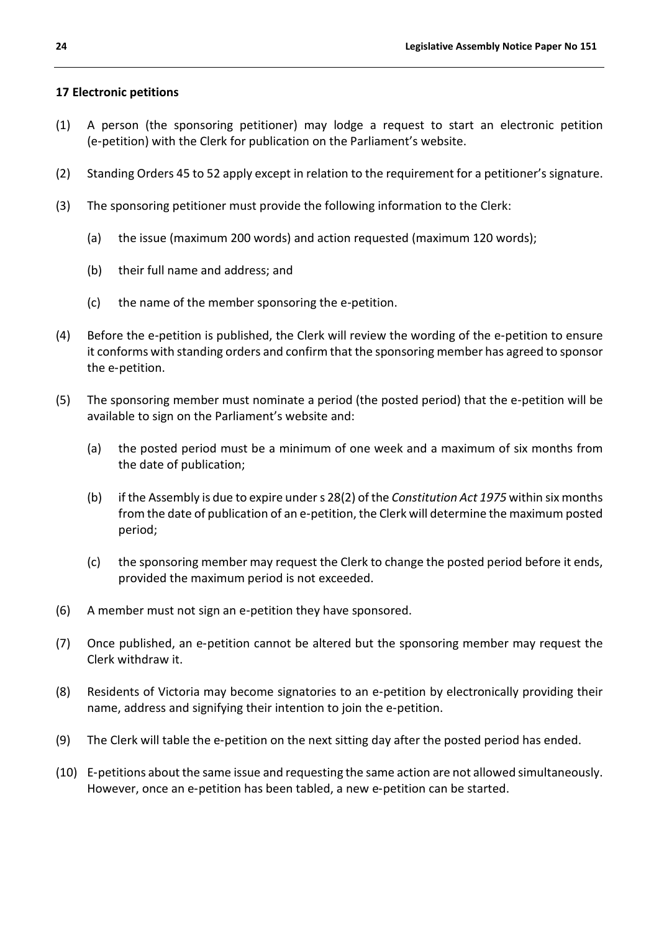# **17 Electronic petitions**

- (1) A person (the sponsoring petitioner) may lodge a request to start an electronic petition (e‑petition) with the Clerk for publication on the Parliament's website.
- (2) Standing Orders 45 to 52 apply except in relation to the requirement for a petitioner's signature.
- (3) The sponsoring petitioner must provide the following information to the Clerk:
	- (a) the issue (maximum 200 words) and action requested (maximum 120 words);
	- (b) their full name and address; and
	- (c) the name of the member sponsoring the e‑petition.
- (4) Before the e‑petition is published, the Clerk will review the wording of the e‑petition to ensure it conforms with standing orders and confirm that the sponsoring member has agreed to sponsor the e‑petition.
- (5) The sponsoring member must nominate a period (the posted period) that the e‑petition will be available to sign on the Parliament's website and:
	- (a) the posted period must be a minimum of one week and a maximum of six months from the date of publication;
	- (b) if the Assembly is due to expire under s 28(2) of the *Constitution Act 1975* within six months from the date of publication of an e-petition, the Clerk will determine the maximum posted period;
	- (c) the sponsoring member may request the Clerk to change the posted period before it ends, provided the maximum period is not exceeded.
- (6) A member must not sign an e‑petition they have sponsored.
- (7) Once published, an e‑petition cannot be altered but the sponsoring member may request the Clerk withdraw it.
- (8) Residents of Victoria may become signatories to an e‑petition by electronically providing their name, address and signifying their intention to join the e‑petition.
- (9) The Clerk will table the e‑petition on the next sitting day after the posted period has ended.
- (10) E‑petitions about the same issue and requesting the same action are not allowed simultaneously. However, once an e-petition has been tabled, a new e-petition can be started.